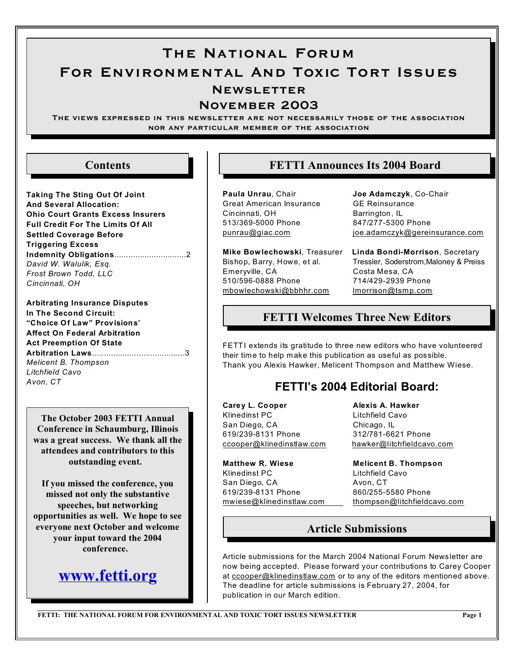# The National Forum For Environmental And Toxic Tort Issues **NEWSLETTER**

### November 2003

The views expressed in this newsletter are not necessarily those of the association nor any particular member of the association

## **Contents**

- **Taking The Sting Out Of Joint And Several Allocation: Ohio Court Grants Excess Insurers Full Credit For The Limits Of All Settled Coverage Before Triggering Excess Indemnity Obligations**...............................2 *David W. Walulik, Esq. Frost Brown Todd, LLC Cincinnati, OH*
- **Arbitrating Insurance Disputes In The Second Circuit: "Choice Of Law" Provisions' Affect On Federal Arbitration Act Preemption Of State Arbitration Laws**........................................3 *Melicent B. Thompson Litchfield Cavo Avon, CT*

**The October 2003 FETTI Annual Conference in Schaumburg, Illinois was a great success. We thank all the attendees and contributors to this outstanding event.** 

**If you missed the conference, you missed not only the substantive speeches, but networking opportunities as well. We hope to see everyone next October and welcome your input toward the 2004 conference.** 

## **[www.fetti.org](http://www.fetti.org.)**

## **FETTI Announces Its 2004 Board**

**Paula Unrau**, Chair **Joe Adamczyk**, Co-Chair Great American Insurance GE Reinsurance Cincinnati, OH Barrington, IL 513/369-5000 Phone 847/277-5300 Phone

Emeryville, CA Costa Mesa, CA 510/596-0888 Phone 714/429-2939 Phone [mbowlechowski@bbhhr.com](mailto:mbowlechowski@bbhhr.com) [lmorrison@tsmp.com](mailto:lmorrison@tsmp.com)

[punrau@giac.com](mailto:punrau@giac.com) [joe.adamczyk@gereinsurance.com](mailto:joe.adamczyk@gereinsurance.com)

**Mike Bowlechowski**, Treasurer **Linda Bondi-Morrison**, Secretary Bishop, Barry, Howe, et al. Tressler, Soderstrom,Maloney & Preiss

## **FETTI Welcomes Three New Editors**

FETTI extends its gratitude to three new editors who have volunteered their time to help m ake this publication as useful as possible. Thank you Alexis Hawker, Melicent Thompson and Matthew Wiese.

## **FETTI's 2004 Editorial Board:**

Carey L. Cooper **Alexis A. Hawker** Klinedinst PC Litchfield Cavo San Diego, CA Chicago, IL 619/239-8131 Phone 312/781-6621 Phone

**Matthew R. Wiese Melicent B. Thompson** Klinedinst PC Litchfield Cavo San Diego, CA Avon, CT 619/239-8131 Phone 860/255-5580 Phone

[ccooper@klinedinstlaw.com](mailto:Ccooper@klinedinstlaw.com) [hawker@litchfieldcavo.com](mailto:dawn.gonzalez@bmbt.com)

[mwiese@klinedinstlaw.com](mailto:mwiese@klinedinstlaw.com) [thompson@litchfieldcavo.com](mailto:thompson@litchfieldcavo.com)

## **Article Submissions**

Article submissions for the March 2004 National Forum Newsletter are now being accepted. Please forward your contributions to Carey Cooper at [ccooper@klinedinstlaw.com](mailto:ccooper@klinedinstlaw.com) or to any of the editors mentioned above. The deadline for article submissions is February 27, 2004, for publication in our March edition.

**FETTI: THE NATIONAL FORUM FOR ENVIRONMENTAL AND TOXIC TORT ISSUES NEWSLETTER** Page 1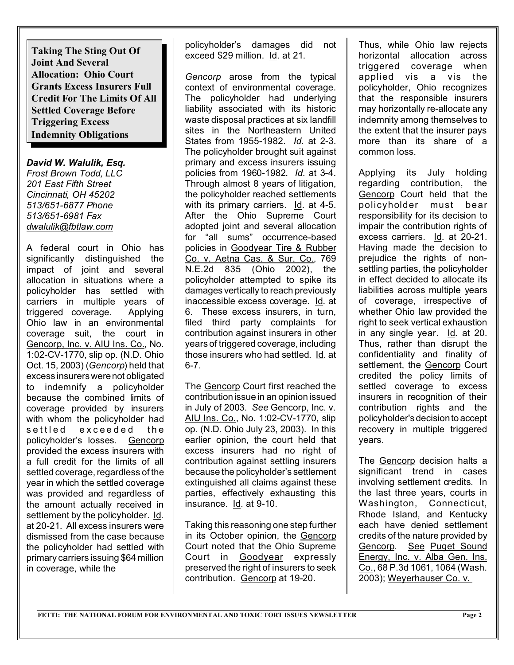**Taking The Sting Out Of Joint And Several Allocation: Ohio Court Grants Excess Insurers Full Credit For The Limits Of All Settled Coverage Before Triggering Excess Indemnity Obligations**

*David W. Walulik, Esq. Frost Brown Todd, LLC 201 East Fifth Street Cincinnati, OH 45202 513/651-6877 Phone 513/651-6981 Fax [dwalulik@fbtlaw.com](mailto:dwalulik@fbtlaw.com)*

A federal court in Ohio has significantly distinguished the impact of joint and several allocation in situations where a policyholder has settled with carriers in multiple years of triggered coverage. Applying Ohio law in an environmental coverage suit, the court in Gencorp, Inc. v. AIU Ins. Co., No. 1:02-CV-1770, slip op. (N.D. Ohio Oct. 15, 2003) (*Gencorp*) held that excess insurers werenot obligated to indemnify a policyholder because the combined limits of coverage provided by insurers with whom the policyholder had settled exceeded the policyholder's losses. Gencorp provided the excess insurers with a full credit for the limits of all settled coverage, regardless of the year in which the settled coverage was provided and regardless of the amount actually received in settlement by the policyholder. Id*.* at 20-21. All excess insurers were dismissed from the case because the policyholder had settled with primary carriers issuing \$64 million in coverage, while the

policyholder's damages did not exceed \$29 million. Id. at 21.

*Gencorp* arose from the typical context of environmental coverage. The policyholder had underlying liability associated with its historic waste disposal practices at six landfill sites in the Northeastern United States from 1955-1982. *Id.* at 2-3. The policyholder brought suit against primary and excess insurers issuing policies from 1960-1982. *Id.* at 3-4. Through almost 8 years of litigation, the policyholder reached settlements with its primary carriers. Id. at 4-5. After the Ohio Supreme Court adopted joint and several allocation for "all sums" occurrence-based policies in Goodyear Tire & Rubber Co. v. Aetna Cas. & Sur. Co., 769 N.E.2d 835 (Ohio 2002), the policyholder attempted to spike its damages vertically to reach previously inaccessible excess coverage. Id*.* at 6. These excess insurers, in turn, filed third party complaints for contribution against insurers in other years of triggered coverage, including those insurers who had settled. Id. at 6-7.

The Gencorp Court first reached the contribution issue in an opinion issued in July of 2003. *See* Gencorp, Inc. v. AIU Ins. Co., No. 1:02-CV-1770, slip op. (N.D. Ohio July 23, 2003). In this earlier opinion, the court held that excess insurers had no right of contribution against settling insurers because the policyholder's settlement extinguished all claims against these parties, effectively exhausting this insurance. Id. at 9-10.

Taking this reasoning one step further in its October opinion, the Gencorp Court noted that the Ohio Supreme Court in Goodyear expressly preserved the right of insurers to seek contribution. Gencorp at 19-20.

Thus, while Ohio law rejects horizontal allocation across triggered coverage when applied vis a vis the policyholder, Ohio recognizes that the responsible insurers may horizontally re-allocate any indemnity among themselves to the extent that the insurer pays more than its share of a common loss.

Applying its July holding regarding contribution, the Gencorp Court held that the policyholder must bear responsibility for its decision to impair the contribution rights of excess carriers. Id. at 20-21. Having made the decision to prejudice the rights of nonsettling parties, the policyholder in effect decided to allocate its liabilities across multiple years of coverage, irrespective of whether Ohio law provided the right to seek vertical exhaustion in any single year. Id*.* at 20. Thus, rather than disrupt the confidentiality and finality of settlement, the Gencorp Court credited the policy limits of settled coverage to excess insurers in recognition of their contribution rights and the policyholder's decision to accept recovery in multiple triggered years.

The Gencorp decision halts a significant trend in cases involving settlement credits. In the last three years, courts in Washington, Connecticut, Rhode Island, and Kentucky each have denied settlement credits of the nature provided by Gencorp. See Puget Sound Energy, Inc. v. Alba Gen. Ins. Co., 68 P.3d 1061, 1064 (Wash. 2003); Weyerhauser Co. v.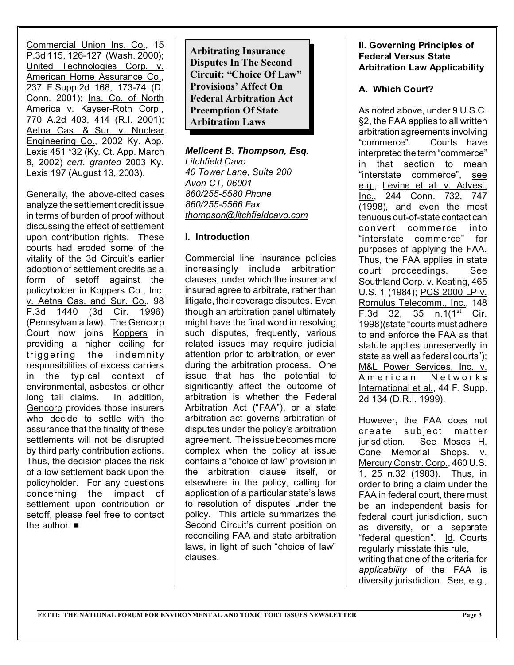Commercial Union Ins. Co., 15 P.3d 115, 126-127 (Wash. 2000); United Technologies Corp. v. American Home Assurance Co., 237 F.Supp.2d 168, 173-74 (D. Conn. 2001); Ins. Co. of North America v. Kayser-Roth Corp., 770 A.2d 403, 414 (R.I. 2001); Aetna Cas. & Sur. v. Nuclear Engineering Co., 2002 Ky. App. Lexis 451 \*32 (Ky. Ct. App. March 8, 2002) *cert. granted* 2003 Ky. Lexis 197 (August 13, 2003).

Generally, the above-cited cases analyze the settlement credit issue in terms of burden of proof without discussing the effect of settlement upon contribution rights. These courts had eroded some of the vitality of the 3d Circuit's earlier adoption of settlement credits as a form of setoff against the policyholder in Koppers Co., Inc. v. Aetna Cas. and Sur. Co., 98 F.3d 1440 (3d Cir. 1996) (Pennsylvania law). The Gencorp Court now joins Koppers in providing a higher ceiling for triggering the indemnity responsibilities of excess carriers in the typical context of environmental, asbestos, or other long tail claims. In addition, Gencorp provides those insurers who decide to settle with the assurance that the finality of these settlements will not be disrupted by third party contribution actions. Thus, the decision places the risk of a low settlement back upon the policyholder. For any questions concerning the impact of settlement upon contribution or setoff, please feel free to contact the author.  $\blacksquare$ 

**Arbitrating Insurance Disputes In The Second Circuit: "Choice Of Law" Provisions' Affect On Federal Arbitration Act Preemption Of State Arbitration Laws**

## *Melicent B. Thompson, Esq.*

*Litchfield Cavo 40 Tower Lane, Suite 200 Avon CT, 06001 860/255-5580 Phone 860/255-5566 Fax [thompson@litchfieldcavo.com](mailto:thompson@litchfieldcavo.com)*

#### **I. Introduction**

Commercial line insurance policies increasingly include arbitration clauses, under which the insurer and insured agree to arbitrate, rather than litigate, their coverage disputes. Even though an arbitration panel ultimately might have the final word in resolving such disputes, frequently, various related issues may require judicial attention prior to arbitration, or even during the arbitration process. One issue that has the potential to significantly affect the outcome of arbitration is whether the Federal Arbitration Act ("FAA"), or a state arbitration act governs arbitration of disputes under the policy's arbitration agreement. The issue becomes more complex when the policy at issue contains a "choice of law" provision in the arbitration clause itself, or elsewhere in the policy, calling for application of a particular state's laws to resolution of disputes under the policy. This article summarizes the Second Circuit's current position on reconciling FAA and state arbitration laws, in light of such "choice of law" clauses.

#### **II. Governing Principles of Federal Versus State Arbitration Law Applicability**

### **A. Which Court?**

As noted above, under 9 U.S.C. §2, the FAA applies to all written arbitration agreements involving "commerce". Courts have interpreted the term "commerce" in that section to mean "interstate commerce", see e.g., Levine et al. v. Advest, Inc., 244 Conn. 732, 747 (1998), and even the most tenuous out-of-state contact can convert commerce into "interstate commerce" for purposes of applying the FAA. Thus, the FAA applies in state court proceedings. See Southland Corp. v. Keating, 465 U.S. 1 (1984); PCS 2000 LP v. Romulus Telecomm., Inc., 148 F.3d 32, 35 n.1 $(1^{st}$  Cir. 1998)(state "courts must adhere to and enforce the FAA as that statute applies unreservedly in state as well as federal courts"); M&L Power Services, Inc. v. American Networks International et al., 44 F. Supp. 2d 134 (D.R.I. 1999).

However, the FAA does not create subject matter jurisdiction. See Moses H. Cone Memorial Shops. v. Mercury Constr. Corp., 460 U.S. 1, 25 n.32 (1983). Thus, in order to bring a claim under the FAA in federal court, there must be an independent basis for federal court jurisdiction, such as diversity, or a separate "federal question". Id. Courts regularly misstate this rule, writing that one of the criteria for *applicability* of the FAA is diversity jurisdiction. See, e.g.,

**FETTI: THE NATIONAL FORUM FOR ENVIRONMENTAL AND TOXIC TORT ISSUES NEWSLETTER** Page 3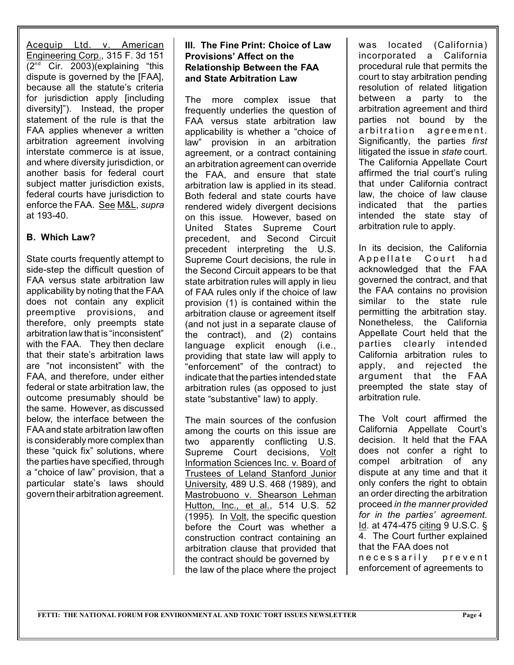Acequip Ltd. v. American Engineering Corp., 315 F. 3d 151  $(2<sup>nd</sup>$  Cir. 2003)(explaining "this dispute is governed by the [FAA], because all the statute's criteria for jurisdiction apply [including diversity]"). Instead, the proper statement of the rule is that the FAA applies whenever a written arbitration agreement involving interstate commerce is at issue, and where diversity jurisdiction, or another basis for federal court subject matter jurisdiction exists. federal courts have jurisdiction to enforce the FAA. See M&L, *supra* at 193-40.

#### **B. Which Law?**

State courts frequently attempt to side-step the difficult question of FAA versus state arbitration law applicability by noting that the FAA does not contain any explicit preemptive provisions, and therefore, only preempts state arbitration law that is "inconsistent" with the FAA. They then declare that their state's arbitration laws are "not inconsistent" with the FAA, and therefore, under either federal or state arbitration law, the outcome presumably should be the same. However, as discussed below, the interface between the FAA and state arbitration law often is considerably more complex than these "quick fix" solutions, where the parties have specified, through a "choice of law" provision, that a particular state's laws should govern their arbitrationagreement.

#### **III. The Fine Print: Choice of Law Provisions' Affect on the Relationship Between the FAA and State Arbitration Law**

The more complex issue that frequently underlies the question of FAA versus state arbitration law applicability is whether a "choice of law" provision in an arbitration agreement, or a contract containing an arbitration agreement can override the FAA, and ensure that state arbitration law is applied in its stead. Both federal and state courts have rendered widely divergent decisions on this issue. However, based on United States Supreme Court precedent, and Second Circuit precedent interpreting the U.S. Supreme Court decisions, the rule in the Second Circuit appears to be that state arbitration rules will apply in lieu of FAA rules only if the choice of law provision (1) is contained within the arbitration clause or agreement itself (and not just in a separate clause of the contract), and (2) contains language explicit enough (i.e., providing that state law will apply to "enforcement" of the contract) to indicate that the parties intended state arbitration rules (as opposed to just state "substantive" law) to apply.

The main sources of the confusion among the courts on this issue are two apparently conflicting U.S. Supreme Court decisions, Volt Information Sciences Inc. v. Board of Trustees of Leland Stanford Junior University, 489 U.S. 468 (1989), and Mastrobuono v. Shearson Lehman Hutton, Inc., et al., 514 U.S. 52 (1995). In Volt, the specific question before the Court was whether a construction contract containing an arbitration clause that provided that the contract should be governed by the law of the place where the project was located (California) incorporated a California procedural rule that permits the court to stay arbitration pending resolution of related litigation between a party to the arbitration agreement and third parties not bound by the arbitration agreement. Significantly, the parties *first* litigated the issue in *state* court. The California Appellate Court affirmed the trial court's ruling that under California contract law, the choice of law clause indicated that the parties intended the state stay of arbitration rule to apply.

In its decision, the California Appellate Court had acknowledged that the FAA governed the contract, and that the FAA contains no provision similar to the state rule permitting the arbitration stay. Nonetheless, the California Appellate Court held that the parties clearly intended California arbitration rules to apply, and rejected the argument that the FAA preempted the state stay of arbitration rule.

The Volt court affirmed the California Appellate Court's decision. It held that the FAA does not confer a right to compel arbitration of any dispute at any time and that it only confers the right to obtain an order directing the arbitration proceed *in the manner provided for in the parties' agreement*. Id. at 474-475 citing 9 U.S.C. § 4. The Court further explained that the FAA does not

necessarily prevent enforcement of agreements to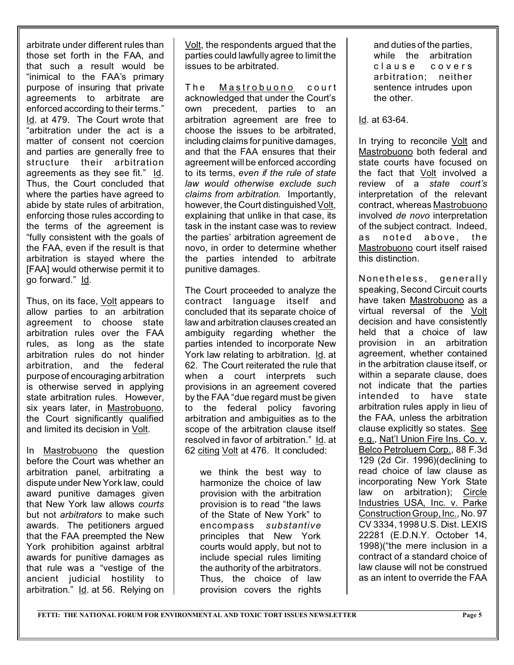arbitrate under different rules than those set forth in the FAA, and that such a result would be "inimical to the FAA's primary purpose of insuring that private agreements to arbitrate are enforced according to their terms." Id. at 479. The Court wrote that "arbitration under the act is a matter of consent not coercion and parties are generally free to structure their arbitration agreements as they see fit." Id. Thus, the Court concluded that where the parties have agreed to abide by state rules of arbitration, enforcing those rules according to the terms of the agreement is "fully consistent with the goals of the FAA, even if the result is that arbitration is stayed where the [FAA] would otherwise permit it to go forward." Id.

Thus, on its face, Volt appears to allow parties to an arbitration agreement to choose state arbitration rules over the FAA rules, as long as the state arbitration rules do not hinder arbitration, and the federal purpose of encouraging arbitration is otherwise served in applying state arbitration rules. However, six years later, in Mastrobuono, the Court significantly qualified and limited its decision in Volt.

In Mastrobuono the question before the Court was whether an arbitration panel, arbitrating a dispute under New York law, could award punitive damages given that New York law allows *courts* but not *arbitrators* to make such awards. The petitioners argued that the FAA preempted the New York prohibition against arbitral awards for punitive damages as that rule was a "vestige of the ancient judicial hostility to arbitration." Id. at 56. Relying on

Volt, the respondents argued that the parties could lawfully agree to limit the issues to be arbitrated.

The Mastrobuono court acknowledged that under the Court's own precedent, parties to an arbitration agreement are free to choose the issues to be arbitrated, including claims for punitive damages, and that the FAA ensures that their agreement will be enforced according to its terms, *even if the rule of state law would otherwise exclude such claims from arbitration*. Importantly, however, the Court distinguished Volt, explaining that unlike in that case, its task in the instant case was to review the parties' arbitration agreement de novo, in order to determine whether the parties intended to arbitrate punitive damages.

The Court proceeded to analyze the contract language itself and concluded that its separate choice of law and arbitration clauses created an ambiguity regarding whether the parties intended to incorporate New York law relating to arbitration. Id. at 62. The Court reiterated the rule that when a court interprets such provisions in an agreement covered by the FAA "due regard must be given to the federal policy favoring arbitration and ambiguities as to the scope of the arbitration clause itself resolved in favor of arbitration." Id. at 62 citing Volt at 476. It concluded:

we think the best way to harmonize the choice of law provision with the arbitration provision is to read "the laws of the State of New York" to encompass *substantive* principles that New York courts would apply, but not to include special rules limiting the authority of the arbitrators. Thus, the choice of law provision covers the rights

and duties of the parties, while the arbitration clause covers arbitration; neither sentence intrudes upon the other.

Id. at 63-64.

In trying to reconcile Volt and Mastrobuono both federal and state courts have focused on the fact that Volt involved a review of a *state court's* interpretation of the relevant contract, whereas Mastrobuono involved *de novo* interpretation of the subject contract. Indeed, as noted above, the Mastrobuono court itself raised this distinction.

Nonetheless, generally speaking, Second Circuit courts have taken Mastrobuono as a virtual reversal of the Volt decision and have consistently held that a choice of law provision in an arbitration agreement, whether contained in the arbitration clause itself, or within a separate clause, does not indicate that the parties intended to have state arbitration rules apply in lieu of the FAA, unless the arbitration clause explicitly so states. See e.g., Nat'l Union Fire Ins. Co. v. Belco Petroluem Corp., 88 F.3d 129 (2d Cir. 1996)(declining to read choice of law clause as incorporating New York State law on arbitration); Circle Industries USA, Inc. v. Parke Construction Group, Inc., No. 97 CV 3334, 1998 U.S. Dist. LEXIS 22281 (E.D.N.Y. October 14, 1998)("the mere inclusion in a contract of a standard choice of law clause will not be construed as an intent to override the FAA